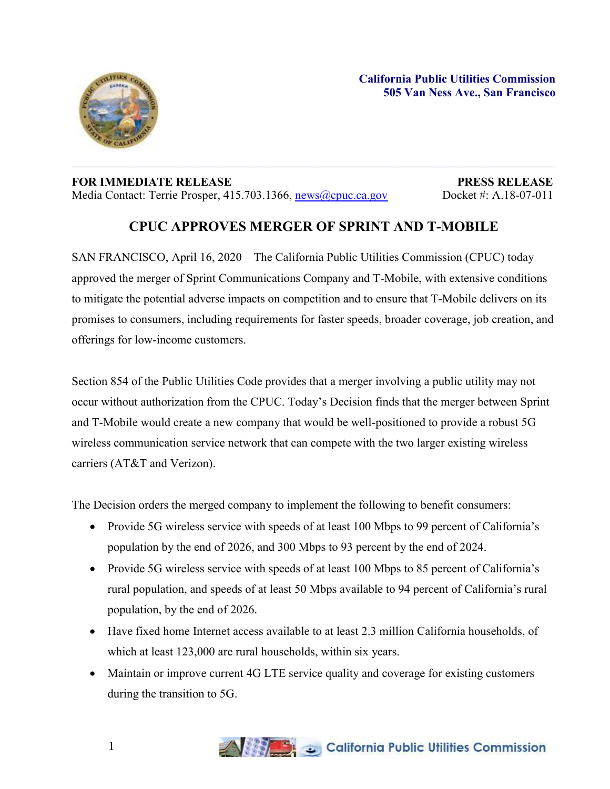

## **FOR IMMEDIATE RELEASE PRESS RELEASE** Media Contact: Terrie Prosper, 415.703.1366, [news@cpuc.ca.gov](mailto:news@cpuc.ca.gov) Docket #: A.18-07-011

## **CPUC APPROVES MERGER OF SPRINT AND T-MOBILE**

 $\mathcal{L}_\mathcal{L} = \mathcal{L}_\mathcal{L} = \mathcal{L}_\mathcal{L} = \mathcal{L}_\mathcal{L} = \mathcal{L}_\mathcal{L} = \mathcal{L}_\mathcal{L} = \mathcal{L}_\mathcal{L} = \mathcal{L}_\mathcal{L} = \mathcal{L}_\mathcal{L} = \mathcal{L}_\mathcal{L} = \mathcal{L}_\mathcal{L} = \mathcal{L}_\mathcal{L} = \mathcal{L}_\mathcal{L} = \mathcal{L}_\mathcal{L} = \mathcal{L}_\mathcal{L} = \mathcal{L}_\mathcal{L} = \mathcal{L}_\mathcal{L}$ 

SAN FRANCISCO, April 16, 2020 – The California Public Utilities Commission (CPUC) today approved the merger of Sprint Communications Company and T-Mobile, with extensive conditions to mitigate the potential adverse impacts on competition and to ensure that T-Mobile delivers on its promises to consumers, including requirements for faster speeds, broader coverage, job creation, and offerings for low-income customers.

Section 854 of the Public Utilities Code provides that a merger involving a public utility may not occur without authorization from the CPUC. Today's Decision finds that the merger between Sprint and T-Mobile would create a new company that would be well-positioned to provide a robust 5G wireless communication service network that can compete with the two larger existing wireless carriers (AT&T and Verizon).

The Decision orders the merged company to implement the following to benefit consumers:

- Provide 5G wireless service with speeds of at least 100 Mbps to 99 percent of California's population by the end of 2026, and 300 Mbps to 93 percent by the end of 2024.
- Provide 5G wireless service with speeds of at least 100 Mbps to 85 percent of California's rural population, and speeds of at least 50 Mbps available to 94 percent of California's rural population, by the end of 2026.
- Have fixed home Internet access available to at least 2.3 million California households, of which at least 123,000 are rural households, within six years.
- Maintain or improve current 4G LTE service quality and coverage for existing customers during the transition to 5G.

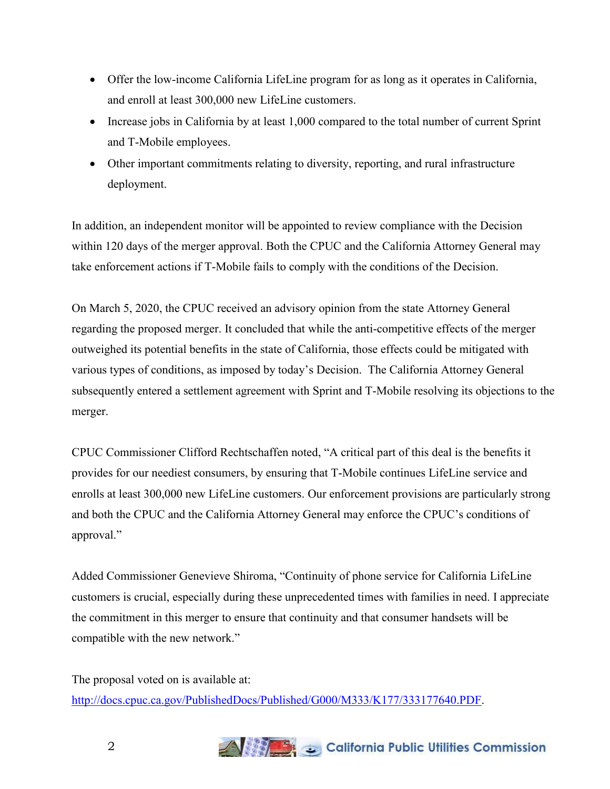- Offer the low-income California LifeLine program for as long as it operates in California, and enroll at least 300,000 new LifeLine customers.
- Increase jobs in California by at least 1,000 compared to the total number of current Sprint and T-Mobile employees.
- Other important commitments relating to diversity, reporting, and rural infrastructure deployment.

In addition, an independent monitor will be appointed to review compliance with the Decision within 120 days of the merger approval. Both the CPUC and the California Attorney General may take enforcement actions if T-Mobile fails to comply with the conditions of the Decision.

On March 5, 2020, the CPUC received an advisory opinion from the state Attorney General regarding the proposed merger. It concluded that while the anti-competitive effects of the merger outweighed its potential benefits in the state of California, those effects could be mitigated with various types of conditions, as imposed by today's Decision. The California Attorney General subsequently entered a settlement agreement with Sprint and T-Mobile resolving its objections to the merger.

CPUC Commissioner Clifford Rechtschaffen noted, "A critical part of this deal is the benefits it provides for our neediest consumers, by ensuring that T-Mobile continues LifeLine service and enrolls at least 300,000 new LifeLine customers. Our enforcement provisions are particularly strong and both the CPUC and the California Attorney General may enforce the CPUC's conditions of approval."

Added Commissioner Genevieve Shiroma, "Continuity of phone service for California LifeLine customers is crucial, especially during these unprecedented times with families in need. I appreciate the commitment in this merger to ensure that continuity and that consumer handsets will be compatible with the new network."

The proposal voted on is available at: [http://docs.cpuc.ca.gov/PublishedDocs/Published/G000/M333/K177/333177640.PDF.](http://docs.cpuc.ca.gov/PublishedDocs/Published/G000/M333/K177/333177640.PDF)